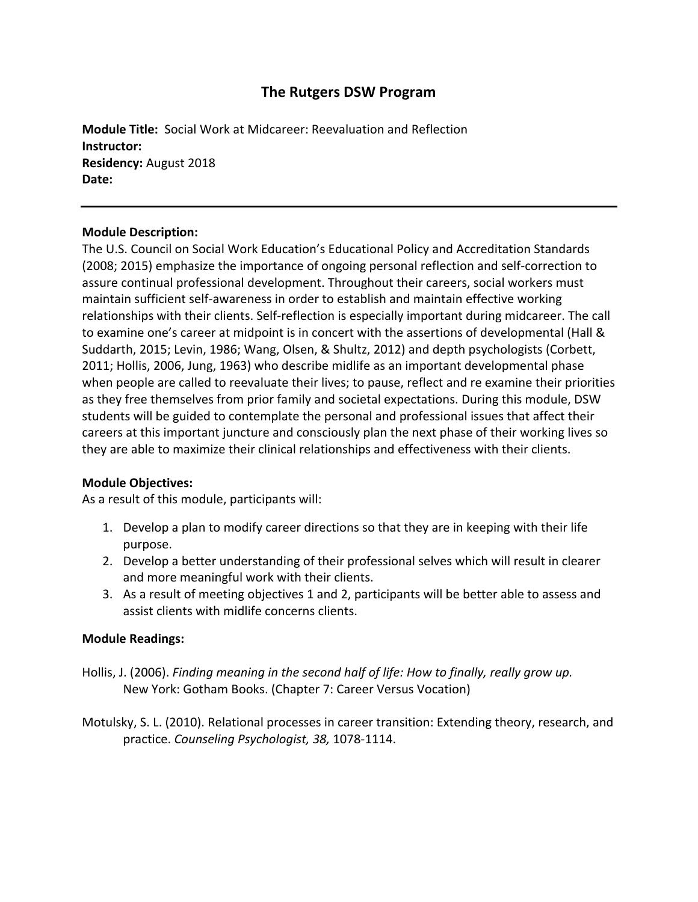# **The Rutgers DSW Program**

**Module Title:** Social Work at Midcareer: Reevaluation and Reflection **Instructor: Residency:** August 2018 **Date:**

## **Module Description:**

The U.S. Council on Social Work Education's Educational Policy and Accreditation Standards (2008; 2015) emphasize the importance of ongoing personal reflection and self-correction to assure continual professional development. Throughout their careers, social workers must maintain sufficient self-awareness in order to establish and maintain effective working relationships with their clients. Self-reflection is especially important during midcareer. The call to examine one's career at midpoint is in concert with the assertions of developmental (Hall & Suddarth, 2015; Levin, 1986; Wang, Olsen, & Shultz, 2012) and depth psychologists (Corbett, 2011; Hollis, 2006, Jung, 1963) who describe midlife as an important developmental phase when people are called to reevaluate their lives; to pause, reflect and re examine their priorities as they free themselves from prior family and societal expectations. During this module, DSW students will be guided to contemplate the personal and professional issues that affect their careers at this important juncture and consciously plan the next phase of their working lives so they are able to maximize their clinical relationships and effectiveness with their clients.

## **Module Objectives:**

As a result of this module, participants will:

- 1. Develop a plan to modify career directions so that they are in keeping with their life purpose.
- 2. Develop a better understanding of their professional selves which will result in clearer and more meaningful work with their clients.
- 3. As a result of meeting objectives 1 and 2, participants will be better able to assess and assist clients with midlife concerns clients.

## **Module Readings:**

- Hollis, J. (2006). *Finding meaning in the second half of life: How to finally, really grow up.* New York: Gotham Books. (Chapter 7: Career Versus Vocation)
- Motulsky, S. L. (2010). Relational processes in career transition: Extending theory, research, and practice. *Counseling Psychologist, 38,* 1078-1114.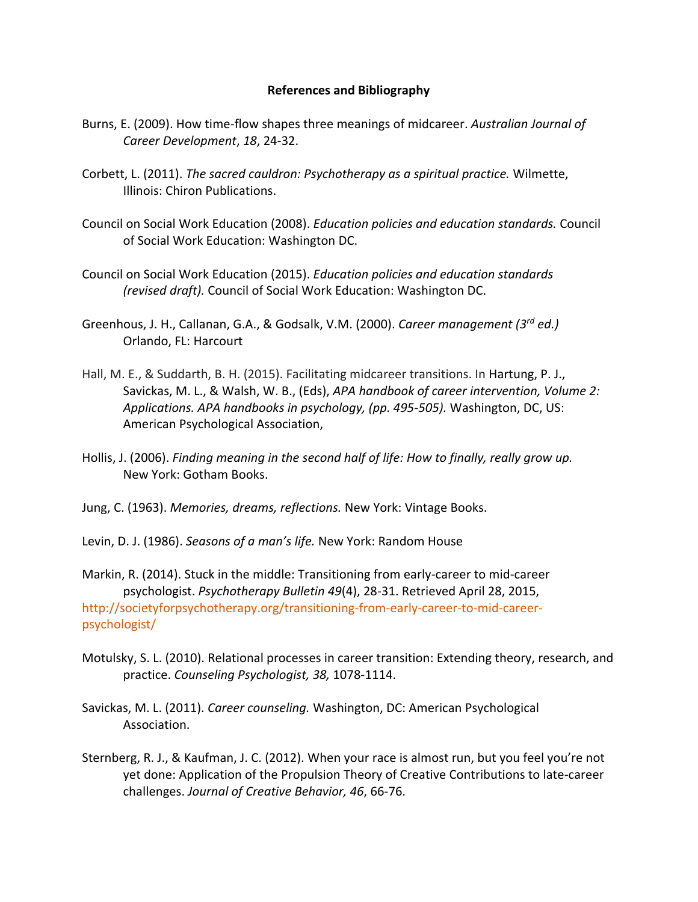### **References and Bibliography**

- Burns, E. (2009). How time-flow shapes three meanings of midcareer. *Australian Journal of Career Development*, *18*, 24-32.
- Corbett, L. (2011). *The sacred cauldron: Psychotherapy as a spiritual practice.* Wilmette, Illinois: Chiron Publications.
- Council on Social Work Education (2008). *Education policies and education standards.* Council of Social Work Education: Washington DC.
- Council on Social Work Education (2015). *Education policies and education standards (revised draft).* Council of Social Work Education: Washington DC.
- Greenhous, J. H., Callanan, G.A., & Godsalk, V.M. (2000). *Career management (3rd ed.)* Orlando, FL: Harcourt
- Hall, M. E., & Suddarth, B. H. (2015). Facilitating midcareer transitions. In Hartung, P. J., Savickas, M. L., & Walsh, W. B., (Eds), *APA handbook of career intervention, Volume 2: Applications. APA handbooks in psychology, (pp. 495-505).* Washington, DC, US: American Psychological Association,
- Hollis, J. (2006). *Finding meaning in the second half of life: How to finally, really grow up.* New York: Gotham Books.
- Jung, C. (1963). *Memories, dreams, reflections.* New York: Vintage Books.
- Levin, D. J. (1986). *Seasons of a man's life.* New York: Random House

Markin, R. (2014). Stuck in the middle: Transitioning from early-career to mid-career psychologist. *Psychotherapy Bulletin 49*(4), 28-31. Retrieved April 28, 2015, [http://societyforpsychotherapy.org/transitioning-from-early-career-to-mid-career](http://societyforpsychotherapy.org/transitioning-from-early-career-to-mid-career-psychologist/)[psychologist/](http://societyforpsychotherapy.org/transitioning-from-early-career-to-mid-career-psychologist/)

- Motulsky, S. L. (2010). Relational processes in career transition: Extending theory, research, and practice. *Counseling Psychologist, 38,* 1078-1114.
- Savickas, M. L. (2011). *Career counseling.* Washington, DC: American Psychological Association.
- Sternberg, R. J., & Kaufman, J. C. (2012). When your race is almost run, but you feel you're not yet done: Application of the Propulsion Theory of Creative Contributions to late-career challenges. *Journal of Creative Behavior, 46*, 66-76.